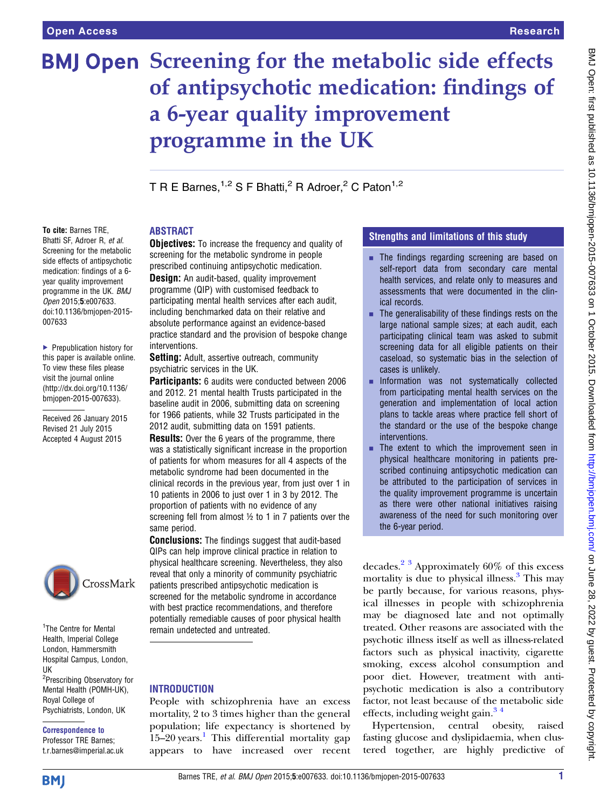# **BMJ Open Screening for the metabolic side effects** of antipsychotic medication: findings of a 6-year quality improvement programme in the UK

T R E Barnes,  $1,2$  S F Bhatti, <sup>2</sup> R Adroer, <sup>2</sup> C Paton<sup>1,2</sup>

## ABSTRACT

To cite: Barnes TRE, Bhatti SF, Adroer R, et al. Screening for the metabolic side effects of antipsychotic medication: findings of a 6 year quality improvement programme in the UK. BMJ Open 2015;5:e007633. doi:10.1136/bmjopen-2015- 007633

▶ Prepublication history for this paper is available online. To view these files please visit the journal online [\(http://dx.doi.org/10.1136/](http://dx.doi.org/10.1136/bmjopen-2015-007633) [bmjopen-2015-007633](http://dx.doi.org/10.1136/bmjopen-2015-007633)).

Received 26 January 2015 Revised 21 July 2015 Accepted 4 August 2015



<sup>1</sup>The Centre for Mental Health, Imperial College London, Hammersmith Hospital Campus, London, UK <sup>2</sup>Prescribing Observatory for Mental Health (POMH-UK), Royal College of Psychiatrists, London, UK

Correspondence to Professor TRE Barnes; t.r.barnes@imperial.ac.uk **Objectives:** To increase the frequency and quality of screening for the metabolic syndrome in people prescribed continuing antipsychotic medication. **Design:** An audit-based, quality improvement programme (QIP) with customised feedback to participating mental health services after each audit, including benchmarked data on their relative and absolute performance against an evidence-based practice standard and the provision of bespoke change interventions.

**Setting:** Adult, assertive outreach, community psychiatric services in the UK.

Participants: 6 audits were conducted between 2006 and 2012. 21 mental health Trusts participated in the baseline audit in 2006, submitting data on screening for 1966 patients, while 32 Trusts participated in the 2012 audit, submitting data on 1591 patients.

**Results:** Over the 6 years of the programme, there was a statistically significant increase in the proportion of patients for whom measures for all 4 aspects of the metabolic syndrome had been documented in the clinical records in the previous year, from just over 1 in 10 patients in 2006 to just over 1 in 3 by 2012. The proportion of patients with no evidence of any screening fell from almost ½ to 1 in 7 patients over the same period.

**Conclusions:** The findings suggest that audit-based QIPs can help improve clinical practice in relation to physical healthcare screening. Nevertheless, they also reveal that only a minority of community psychiatric patients prescribed antipsychotic medication is screened for the metabolic syndrome in accordance with best practice recommendations, and therefore potentially remediable causes of poor physical health remain undetected and untreated.

# **INTRODUCTION**

People with schizophrenia have an excess mortality, 2 to 3 times higher than the general population; life expectancy is shortened by [1](#page-7-0)5–20 years.<sup>1</sup> This differential mortality gap appears to have increased over recent

# Strengths and limitations of this study

- **The findings regarding screening are based on** self-report data from secondary care mental health services, and relate only to measures and assessments that were documented in the clinical records.
- $\blacksquare$  The generalisability of these findings rests on the large national sample sizes; at each audit, each participating clinical team was asked to submit screening data for all eligible patients on their caseload, so systematic bias in the selection of cases is unlikely.
- **EXECUTE:** Information was not systematically collected from participating mental health services on the generation and implementation of local action plans to tackle areas where practice fell short of the standard or the use of the bespoke change interventions.
- $\blacksquare$  The extent to which the improvement seen in physical healthcare monitoring in patients prescribed continuing antipsychotic medication can be attributed to the participation of services in the quality improvement programme is uncertain as there were other national initiatives raising awareness of the need for such monitoring over the 6-year period.

decades.[2 3](#page-7-0) Approximately 60% of this excess mortality is due to physical illness.<sup>[3](#page-7-0)</sup> This may be partly because, for various reasons, physical illnesses in people with schizophrenia may be diagnosed late and not optimally treated. Other reasons are associated with the psychotic illness itself as well as illness-related factors such as physical inactivity, cigarette smoking, excess alcohol consumption and poor diet. However, treatment with antipsychotic medication is also a contributory factor, not least because of the metabolic side effects, including weight gain. $3<sup>4</sup>$ 

Hypertension, central obesity, raised fasting glucose and dyslipidaemia, when clustered together, are highly predictive of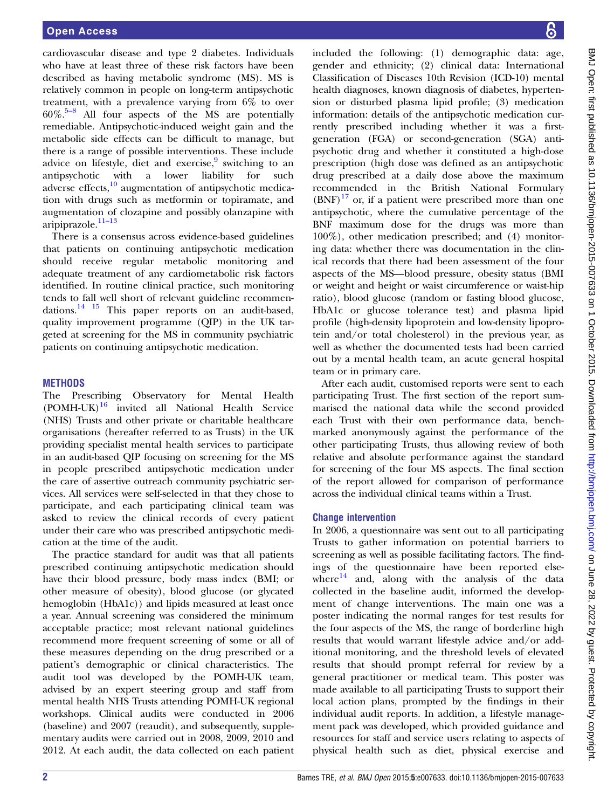cardiovascular disease and type 2 diabetes. Individuals who have at least three of these risk factors have been described as having metabolic syndrome (MS). MS is relatively common in people on long-term antipsychotic treat[men](#page-7-0)t, with a prevalence varying from 6% to over  $60\%$ .<sup>5–8</sup> All four aspects of the MS are potentially remediable. Antipsychotic-induced weight gain and the metabolic side effects can be difficult to manage, but there is a range of possible interventions. These include advice on lifestyle, diet and exercise, switching to an antipsychotic with a lower liability for such adverse effects, $\frac{10}{10}$  $\frac{10}{10}$  $\frac{10}{10}$  augmentation of antipsychotic medication with drugs such as metformin or topiramate, and augmentation of clozapine and possibly olanzapine with aripiprazole.11–[13](#page-7-0)

There is a consensus across evidence-based guidelines that patients on continuing antipsychotic medication should receive regular metabolic monitoring and adequate treatment of any cardiometabolic risk factors identified. In routine clinical practice, such monitoring tends to fall well short of relevant guideline recommen-dations.<sup>[14 15](#page-7-0)</sup> This paper reports on an audit-based, quality improvement programme (QIP) in the UK targeted at screening for the MS in community psychiatric patients on continuing antipsychotic medication.

## **METHODS**

The Prescribing Observatory for Mental Health  $(POMH-UK)^{16}$  $(POMH-UK)^{16}$  $(POMH-UK)^{16}$  invited all National Health Service (NHS) Trusts and other private or charitable healthcare organisations (hereafter referred to as Trusts) in the UK providing specialist mental health services to participate in an audit-based QIP focusing on screening for the MS in people prescribed antipsychotic medication under the care of assertive outreach community psychiatric services. All services were self-selected in that they chose to participate, and each participating clinical team was asked to review the clinical records of every patient under their care who was prescribed antipsychotic medication at the time of the audit.

The practice standard for audit was that all patients prescribed continuing antipsychotic medication should have their blood pressure, body mass index (BMI; or other measure of obesity), blood glucose (or glycated hemoglobin (HbA1c)) and lipids measured at least once a year. Annual screening was considered the minimum acceptable practice; most relevant national guidelines recommend more frequent screening of some or all of these measures depending on the drug prescribed or a patient's demographic or clinical characteristics. The audit tool was developed by the POMH-UK team, advised by an expert steering group and staff from mental health NHS Trusts attending POMH-UK regional workshops. Clinical audits were conducted in 2006 (baseline) and 2007 (reaudit), and subsequently, supplementary audits were carried out in 2008, 2009, 2010 and 2012. At each audit, the data collected on each patient

included the following: (1) demographic data: age, gender and ethnicity; (2) clinical data: International Classification of Diseases 10th Revision (ICD-10) mental health diagnoses, known diagnosis of diabetes, hypertension or disturbed plasma lipid profile; (3) medication information: details of the antipsychotic medication currently prescribed including whether it was a firstgeneration (FGA) or second-generation (SGA) antipsychotic drug and whether it constituted a high-dose prescription (high dose was defined as an antipsychotic drug prescribed at a daily dose above the maximum recommended in the British National Formulary  $(BNF)^{17}$  $(BNF)^{17}$  $(BNF)^{17}$  or, if a patient were prescribed more than one antipsychotic, where the cumulative percentage of the BNF maximum dose for the drugs was more than 100%), other medication prescribed; and (4) monitoring data: whether there was documentation in the clinical records that there had been assessment of the four aspects of the MS—blood pressure, obesity status (BMI or weight and height or waist circumference or waist-hip ratio), blood glucose (random or fasting blood glucose, HbA1c or glucose tolerance test) and plasma lipid profile (high-density lipoprotein and low-density lipoprotein and/or total cholesterol) in the previous year, as well as whether the documented tests had been carried out by a mental health team, an acute general hospital team or in primary care.

After each audit, customised reports were sent to each participating Trust. The first section of the report summarised the national data while the second provided each Trust with their own performance data, benchmarked anonymously against the performance of the other participating Trusts, thus allowing review of both relative and absolute performance against the standard for screening of the four MS aspects. The final section of the report allowed for comparison of performance across the individual clinical teams within a Trust.

## Change intervention

In 2006, a questionnaire was sent out to all participating Trusts to gather information on potential barriers to screening as well as possible facilitating factors. The findings of the questionnaire have been reported elsewhere $14$  and, along with the analysis of the data collected in the baseline audit, informed the development of change interventions. The main one was a poster indicating the normal ranges for test results for the four aspects of the MS, the range of borderline high results that would warrant lifestyle advice and/or additional monitoring, and the threshold levels of elevated results that should prompt referral for review by a general practitioner or medical team. This poster was made available to all participating Trusts to support their local action plans, prompted by the findings in their individual audit reports. In addition, a lifestyle management pack was developed, which provided guidance and resources for staff and service users relating to aspects of physical health such as diet, physical exercise and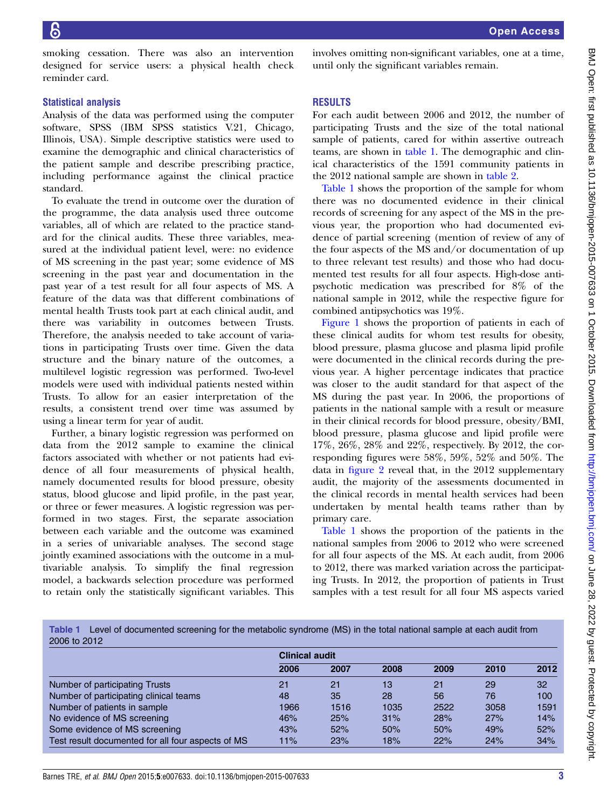smoking cessation. There was also an intervention designed for service users: a physical health check reminder card.

#### Statistical analysis

Analysis of the data was performed using the computer software, SPSS (IBM SPSS statistics V.21, Chicago, Illinois, USA). Simple descriptive statistics were used to examine the demographic and clinical characteristics of the patient sample and describe prescribing practice, including performance against the clinical practice standard.

To evaluate the trend in outcome over the duration of the programme, the data analysis used three outcome variables, all of which are related to the practice standard for the clinical audits. These three variables, measured at the individual patient level, were: no evidence of MS screening in the past year; some evidence of MS screening in the past year and documentation in the past year of a test result for all four aspects of MS. A feature of the data was that different combinations of mental health Trusts took part at each clinical audit, and there was variability in outcomes between Trusts. Therefore, the analysis needed to take account of variations in participating Trusts over time. Given the data structure and the binary nature of the outcomes, a multilevel logistic regression was performed. Two-level models were used with individual patients nested within Trusts. To allow for an easier interpretation of the results, a consistent trend over time was assumed by using a linear term for year of audit.

Further, a binary logistic regression was performed on data from the 2012 sample to examine the clinical factors associated with whether or not patients had evidence of all four measurements of physical health, namely documented results for blood pressure, obesity status, blood glucose and lipid profile, in the past year, or three or fewer measures. A logistic regression was performed in two stages. First, the separate association between each variable and the outcome was examined in a series of univariable analyses. The second stage jointly examined associations with the outcome in a multivariable analysis. To simplify the final regression model, a backwards selection procedure was performed to retain only the statistically significant variables. This

involves omitting non-significant variables, one at a time, until only the significant variables remain.

Open Access

## **RESULTS**

For each audit between 2006 and 2012, the number of participating Trusts and the size of the total national sample of patients, cared for within assertive outreach teams, are shown in table 1. The demographic and clinical characteristics of the 1591 community patients in the 2012 national sample are shown in [table 2.](#page-3-0)

Table 1 shows the proportion of the sample for whom there was no documented evidence in their clinical records of screening for any aspect of the MS in the previous year, the proportion who had documented evidence of partial screening (mention of review of any of the four aspects of the MS and/or documentation of up to three relevant test results) and those who had documented test results for all four aspects. High-dose antipsychotic medication was prescribed for 8% of the national sample in 2012, while the respective figure for combined antipsychotics was 19%.

[Figure 1](#page-4-0) shows the proportion of patients in each of these clinical audits for whom test results for obesity, blood pressure, plasma glucose and plasma lipid profile were documented in the clinical records during the previous year. A higher percentage indicates that practice was closer to the audit standard for that aspect of the MS during the past year. In 2006, the proportions of patients in the national sample with a result or measure in their clinical records for blood pressure, obesity/BMI, blood pressure, plasma glucose and lipid profile were 17%, 26%, 28% and 22%, respectively. By 2012, the corresponding figures were 58%, 59%, 52% and 50%. The data in fi[gure 2](#page-4-0) reveal that, in the 2012 supplementary audit, the majority of the assessments documented in the clinical records in mental health services had been undertaken by mental health teams rather than by primary care.

Table 1 shows the proportion of the patients in the national samples from 2006 to 2012 who were screened for all four aspects of the MS. At each audit, from 2006 to 2012, there was marked variation across the participating Trusts. In 2012, the proportion of patients in Trust samples with a test result for all four MS aspects varied

Table 1 Level of documented screening for the metabolic syndrome (MS) in the total national sample at each audit from 2006 to 2012

|                                                   | <b>Clinical audit</b> |      |      |      |      |      |
|---------------------------------------------------|-----------------------|------|------|------|------|------|
|                                                   | 2006                  | 2007 | 2008 | 2009 | 2010 | 2012 |
| Number of participating Trusts                    | 21                    | 21   | 13   | 21   | 29   | 32   |
| Number of participating clinical teams            | 48                    | 35   | 28   | 56   | 76   | 100  |
| Number of patients in sample                      | 1966                  | 1516 | 1035 | 2522 | 3058 | 1591 |
| No evidence of MS screening                       | 46%                   | 25%  | 31%  | 28%  | 27%  | 14%  |
| Some evidence of MS screening                     | 43%                   | 52%  | 50%  | 50%  | 49%  | 52%  |
| Test result documented for all four aspects of MS | 11%                   | 23%  | 18%  | 22%  | 24%  | 34%  |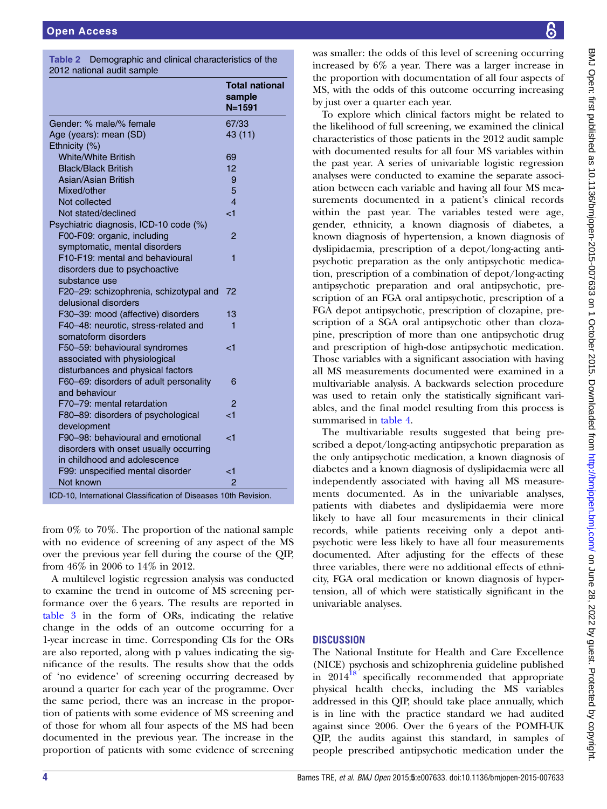<span id="page-3-0"></span>Table 2 Demographic and clinical characteristics of the 2012 national audit sample

|                                                               | <b>Total national</b><br>sample<br>$N = 1591$ |
|---------------------------------------------------------------|-----------------------------------------------|
| Gender: % male/% female                                       | 67/33                                         |
| Age (years): mean (SD)                                        | 43 (11)                                       |
| Ethnicity (%)                                                 |                                               |
| <b>White/White British</b>                                    | 69                                            |
| <b>Black/Black British</b>                                    | 12                                            |
| Asian/Asian British                                           | 9                                             |
| Mixed/other                                                   | 5                                             |
| Not collected                                                 | $\overline{4}$                                |
| Not stated/declined                                           | < 1                                           |
| Psychiatric diagnosis, ICD-10 code (%)                        |                                               |
| F00-F09: organic, including                                   | $\overline{2}$                                |
| symptomatic, mental disorders                                 |                                               |
| F10-F19: mental and behavioural                               | 1                                             |
| disorders due to psychoactive                                 |                                               |
| substance use                                                 |                                               |
| F20-29: schizophrenia, schizotypal and                        | 72                                            |
| delusional disorders                                          |                                               |
| F30-39: mood (affective) disorders                            | 13                                            |
| F40-48: neurotic, stress-related and                          | 1                                             |
| somatoform disorders                                          |                                               |
| F50-59: behavioural syndromes                                 | ا>                                            |
| associated with physiological                                 |                                               |
| disturbances and physical factors                             |                                               |
| F60-69: disorders of adult personality                        | 6                                             |
| and behaviour                                                 |                                               |
| F70-79: mental retardation                                    | 2                                             |
| F80-89: disorders of psychological                            | $\leq$ 1                                      |
| development                                                   |                                               |
| F90-98: behavioural and emotional                             | $\leq$ 1                                      |
| disorders with onset usually occurring                        |                                               |
| in childhood and adolescence                                  |                                               |
| F99: unspecified mental disorder                              | $\leq$ 1                                      |
| Not known                                                     | 2                                             |
| ICD-10 International Classification of Diseases 10th Revision |                                               |

ICD-10, International Classification of Diseases 10th Revision.

from 0% to 70%. The proportion of the national sample with no evidence of screening of any aspect of the MS over the previous year fell during the course of the QIP, from 46% in 2006 to 14% in 2012.

A multilevel logistic regression analysis was conducted to examine the trend in outcome of MS screening performance over the 6 years. The results are reported in [table 3](#page-5-0) in the form of ORs, indicating the relative change in the odds of an outcome occurring for a 1-year increase in time. Corresponding CIs for the ORs are also reported, along with p values indicating the significance of the results. The results show that the odds of 'no evidence' of screening occurring decreased by around a quarter for each year of the programme. Over the same period, there was an increase in the proportion of patients with some evidence of MS screening and of those for whom all four aspects of the MS had been documented in the previous year. The increase in the proportion of patients with some evidence of screening

was smaller: the odds of this level of screening occurring increased by 6% a year. There was a larger increase in the proportion with documentation of all four aspects of MS, with the odds of this outcome occurring increasing by just over a quarter each year.

To explore which clinical factors might be related to the likelihood of full screening, we examined the clinical characteristics of those patients in the 2012 audit sample with documented results for all four MS variables within the past year. A series of univariable logistic regression analyses were conducted to examine the separate association between each variable and having all four MS measurements documented in a patient's clinical records within the past year. The variables tested were age, gender, ethnicity, a known diagnosis of diabetes, a known diagnosis of hypertension, a known diagnosis of dyslipidaemia, prescription of a depot/long-acting antipsychotic preparation as the only antipsychotic medication, prescription of a combination of depot/long-acting antipsychotic preparation and oral antipsychotic, prescription of an FGA oral antipsychotic, prescription of a FGA depot antipsychotic, prescription of clozapine, prescription of a SGA oral antipsychotic other than clozapine, prescription of more than one antipsychotic drug and prescription of high-dose antipsychotic medication. Those variables with a significant association with having all MS measurements documented were examined in a multivariable analysis. A backwards selection procedure was used to retain only the statistically significant variables, and the final model resulting from this process is summarised in [table 4.](#page-5-0)

The multivariable results suggested that being prescribed a depot/long-acting antipsychotic preparation as the only antipsychotic medication, a known diagnosis of diabetes and a known diagnosis of dyslipidaemia were all independently associated with having all MS measurements documented. As in the univariable analyses, patients with diabetes and dyslipidaemia were more likely to have all four measurements in their clinical records, while patients receiving only a depot antipsychotic were less likely to have all four measurements documented. After adjusting for the effects of these three variables, there were no additional effects of ethnicity, FGA oral medication or known diagnosis of hypertension, all of which were statistically significant in the univariable analyses.

# **DISCUSSION**

The National Institute for Health and Care Excellence (NICE) psychosis and schizophrenia guideline published in  $2014^{18}$  $2014^{18}$  $2014^{18}$  specifically recommended that appropriate physical health checks, including the MS variables addressed in this QIP, should take place annually, which is in line with the practice standard we had audited against since 2006. Over the 6 years of the POMH-UK QIP, the audits against this standard, in samples of people prescribed antipsychotic medication under the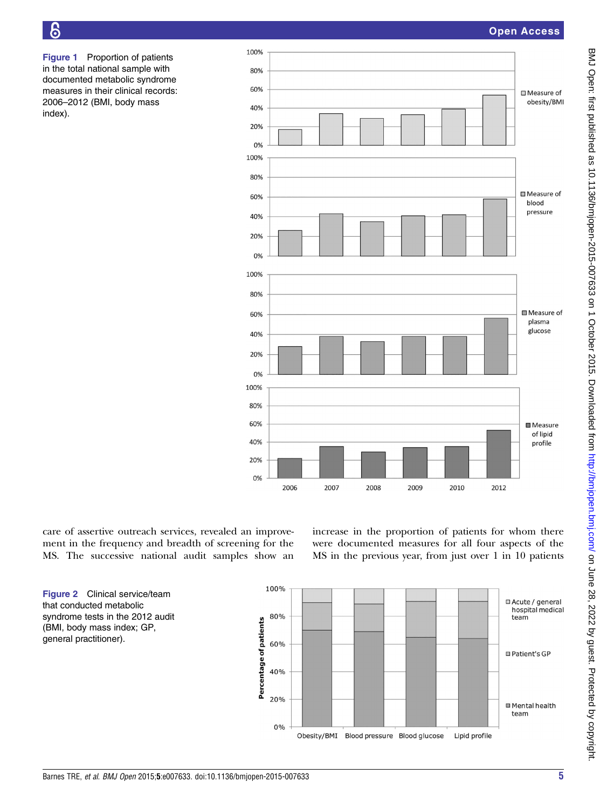# Open Access

<span id="page-4-0"></span>

Figure 1 Proportion of patients in the total national sample with documented metabolic syndrome measures in their clinical records: 2006–2012 (BMI, body mass index).



care of assertive outreach services, revealed an improvement in the frequency and breadth of screening for the MS. The successive national audit samples show an

increase in the proportion of patients for whom there were documented measures for all four aspects of the MS in the previous year, from just over 1 in 10 patients



Figure 2 Clinical service/team

that conducted metabolic syndrome tests in the 2012 audit (BMI, body mass index; GP, general practitioner).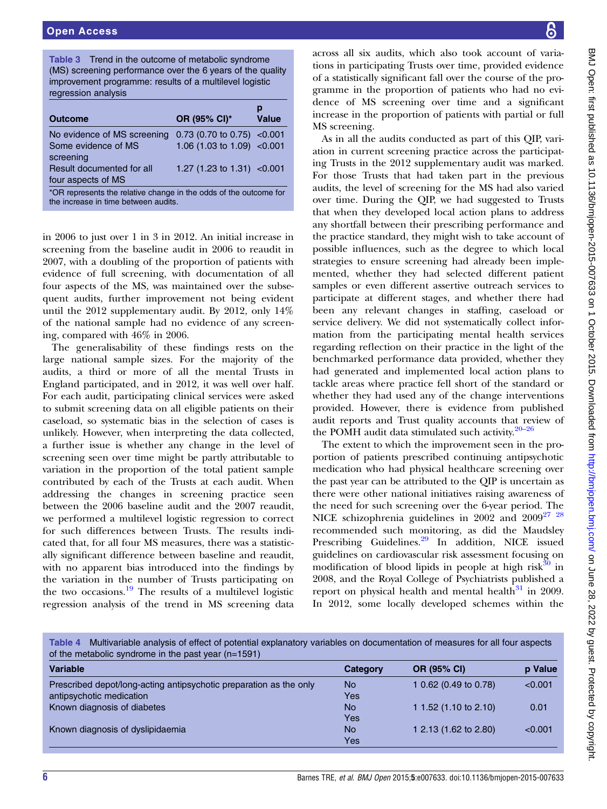<span id="page-5-0"></span>

| Table 3 Trend in the outcome of metabolic syndrome         |
|------------------------------------------------------------|
| (MS) screening performance over the 6 years of the quality |
| improvement programme: results of a multilevel logistic    |
| regression analysis                                        |

| <b>Outcome</b>                                                    | OR (95% CI)*                  | <b>Value</b> |
|-------------------------------------------------------------------|-------------------------------|--------------|
| No evidence of MS screening                                       | $0.73$ (0.70 to 0.75) <0.001  |              |
| Some evidence of MS                                               | 1.06 (1.03 to 1.09) < $0.001$ |              |
| screening<br>Result documented for all                            | 1.27 (1.23 to 1.31) < $0.001$ |              |
| four aspects of MS                                                |                               |              |
| *OR represents the relative change in the odds of the outcome for |                               |              |

the increase in time between audits.

in 2006 to just over 1 in 3 in 2012. An initial increase in screening from the baseline audit in 2006 to reaudit in 2007, with a doubling of the proportion of patients with evidence of full screening, with documentation of all four aspects of the MS, was maintained over the subsequent audits, further improvement not being evident until the 2012 supplementary audit. By 2012, only 14% of the national sample had no evidence of any screening, compared with 46% in 2006.

The generalisability of these findings rests on the large national sample sizes. For the majority of the audits, a third or more of all the mental Trusts in England participated, and in 2012, it was well over half. For each audit, participating clinical services were asked to submit screening data on all eligible patients on their caseload, so systematic bias in the selection of cases is unlikely. However, when interpreting the data collected, a further issue is whether any change in the level of screening seen over time might be partly attributable to variation in the proportion of the total patient sample contributed by each of the Trusts at each audit. When addressing the changes in screening practice seen between the 2006 baseline audit and the 2007 reaudit, we performed a multilevel logistic regression to correct for such differences between Trusts. The results indicated that, for all four MS measures, there was a statistically significant difference between baseline and reaudit, with no apparent bias introduced into the findings by the variation in the number of Trusts participating on the two occasions[.19](#page-7-0) The results of a multilevel logistic regression analysis of the trend in MS screening data

across all six audits, which also took account of variations in participating Trusts over time, provided evidence of a statistically significant fall over the course of the programme in the proportion of patients who had no evidence of MS screening over time and a significant increase in the proportion of patients with partial or full MS screening.

As in all the audits conducted as part of this QIP, variation in current screening practice across the participating Trusts in the 2012 supplementary audit was marked. For those Trusts that had taken part in the previous audits, the level of screening for the MS had also varied over time. During the QIP, we had suggested to Trusts that when they developed local action plans to address any shortfall between their prescribing performance and the practice standard, they might wish to take account of possible influences, such as the degree to which local strategies to ensure screening had already been implemented, whether they had selected different patient samples or even different assertive outreach services to participate at different stages, and whether there had been any relevant changes in staffing, caseload or service delivery. We did not systematically collect information from the participating mental health services regarding reflection on their practice in the light of the benchmarked performance data provided, whether they had generated and implemented local action plans to tackle areas where practice fell short of the standard or whether they had used any of the change interventions provided. However, there is evidence from published audit reports and Trust quality accounts that review of the POMH audit data stimulated such activity. $20-26$ 

The extent to which the improvement seen in the proportion of patients prescribed continuing antipsychotic medication who had physical healthcare screening over the past year can be attributed to the QIP is uncertain as there were other national initiatives raising awareness of the need for such screening over the 6-year period. The NICE schizophrenia guidelines in 2002 and 2009<sup>27</sup> <sup>28</sup> recommended such monitoring, as did the Maudsley Prescribing Guidelines.<sup>[29](#page-7-0)</sup> In addition, NICE issued guidelines on cardiovascular risk assessment focusing on modification of blood lipids in people at high risk $30$  in 2008, and the Royal College of Psychiatrists published a report on physical health and mental health $31$  in 2009. In 2012, some locally developed schemes within the

| <b>Variable</b>                                                    | Category  | <b>OR (95% CI)</b>    | p Value |
|--------------------------------------------------------------------|-----------|-----------------------|---------|
| Prescribed depot/long-acting antipsychotic preparation as the only | No        | 1 0.62 (0.49 to 0.78) | < 0.001 |
| antipsychotic medication                                           | Yes       |                       |         |
| Known diagnosis of diabetes                                        | <b>No</b> | 1 1.52 (1.10 to 2.10) | 0.01    |
|                                                                    | Yes       |                       |         |
| Known diagnosis of dyslipidaemia                                   | <b>No</b> | 1 2.13 (1.62 to 2.80) | < 0.001 |
|                                                                    | Yes       |                       |         |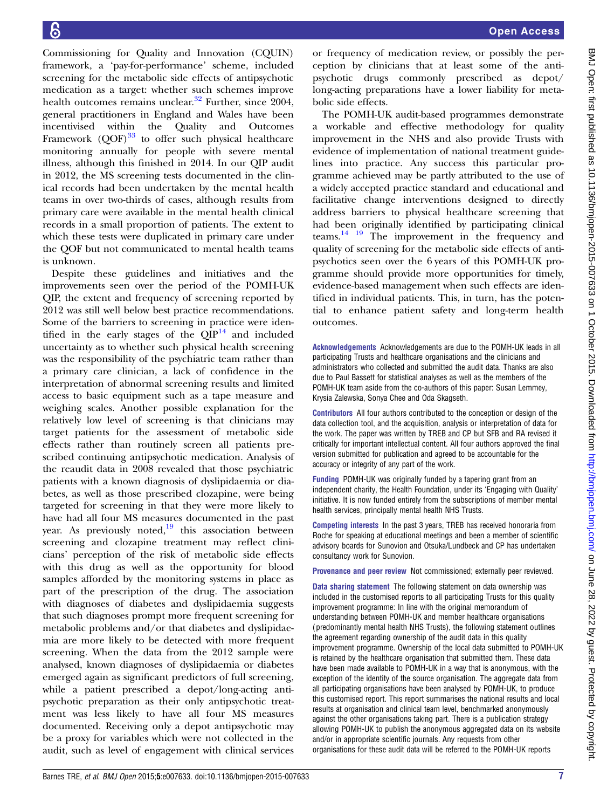Commissioning for Quality and Innovation (CQUIN) framework, a 'pay-for-performance' scheme, included screening for the metabolic side effects of antipsychotic medication as a target: whether such schemes improve health outcomes remains unclear.<sup>[32](#page-7-0)</sup> Further, since 2004, general practitioners in England and Wales have been incentivised within the Quality and Outcomes Framework  $(QOF)^{33}$  $(QOF)^{33}$  $(QOF)^{33}$  to offer such physical healthcare monitoring annually for people with severe mental illness, although this finished in 2014. In our QIP audit in 2012, the MS screening tests documented in the clinical records had been undertaken by the mental health teams in over two-thirds of cases, although results from primary care were available in the mental health clinical records in a small proportion of patients. The extent to which these tests were duplicated in primary care under the QOF but not communicated to mental health teams is unknown.

Despite these guidelines and initiatives and the improvements seen over the period of the POMH-UK QIP, the extent and frequency of screening reported by 2012 was still well below best practice recommendations. Some of the barriers to screening in practice were identified in the early stages of the  $\Omega$ IP<sup>[14](#page-7-0)</sup> and included uncertainty as to whether such physical health screening was the responsibility of the psychiatric team rather than a primary care clinician, a lack of confidence in the interpretation of abnormal screening results and limited access to basic equipment such as a tape measure and weighing scales. Another possible explanation for the relatively low level of screening is that clinicians may target patients for the assessment of metabolic side effects rather than routinely screen all patients prescribed continuing antipsychotic medication. Analysis of the reaudit data in 2008 revealed that those psychiatric patients with a known diagnosis of dyslipidaemia or diabetes, as well as those prescribed clozapine, were being targeted for screening in that they were more likely to have had all four MS measures documented in the past year. As previously noted, $\frac{19}{19}$  $\frac{19}{19}$  $\frac{19}{19}$  this association between screening and clozapine treatment may reflect clinicians' perception of the risk of metabolic side effects with this drug as well as the opportunity for blood samples afforded by the monitoring systems in place as part of the prescription of the drug. The association with diagnoses of diabetes and dyslipidaemia suggests that such diagnoses prompt more frequent screening for metabolic problems and/or that diabetes and dyslipidaemia are more likely to be detected with more frequent screening. When the data from the 2012 sample were analysed, known diagnoses of dyslipidaemia or diabetes emerged again as significant predictors of full screening, while a patient prescribed a depot/long-acting antipsychotic preparation as their only antipsychotic treatment was less likely to have all four MS measures documented. Receiving only a depot antipsychotic may be a proxy for variables which were not collected in the audit, such as level of engagement with clinical services

or frequency of medication review, or possibly the perception by clinicians that at least some of the antipsychotic drugs commonly prescribed as depot/ long-acting preparations have a lower liability for metabolic side effects.

The POMH-UK audit-based programmes demonstrate a workable and effective methodology for quality improvement in the NHS and also provide Trusts with evidence of implementation of national treatment guidelines into practice. Any success this particular programme achieved may be partly attributed to the use of a widely accepted practice standard and educational and facilitative change interventions designed to directly address barriers to physical healthcare screening that had been originally identified by participating clinical teams[.14 19](#page-7-0) The improvement in the frequency and quality of screening for the metabolic side effects of antipsychotics seen over the 6 years of this POMH-UK programme should provide more opportunities for timely, evidence-based management when such effects are identified in individual patients. This, in turn, has the potential to enhance patient safety and long-term health outcomes.

Acknowledgements Acknowledgements are due to the POMH-UK leads in all participating Trusts and healthcare organisations and the clinicians and administrators who collected and submitted the audit data. Thanks are also due to Paul Bassett for statistical analyses as well as the members of the POMH-UK team aside from the co-authors of this paper: Susan Lemmey, Krysia Zalewska, Sonya Chee and Oda Skagseth.

Contributors All four authors contributed to the conception or design of the data collection tool, and the acquisition, analysis or interpretation of data for the work. The paper was written by TREB and CP but SFB and RA revised it critically for important intellectual content. All four authors approved the final version submitted for publication and agreed to be accountable for the accuracy or integrity of any part of the work.

Funding POMH-UK was originally funded by a tapering grant from an independent charity, the Health Foundation, under its 'Engaging with Quality' initiative. It is now funded entirely from the subscriptions of member mental health services, principally mental health NHS Trusts.

Competing interests In the past 3 years, TREB has received honoraria from Roche for speaking at educational meetings and been a member of scientific advisory boards for Sunovion and Otsuka/Lundbeck and CP has undertaken consultancy work for Sunovion.

Provenance and peer review Not commissioned; externally peer reviewed.

Data sharing statement The following statement on data ownership was included in the customised reports to all participating Trusts for this quality improvement programme: In line with the original memorandum of understanding between POMH-UK and member healthcare organisations ( predominantly mental health NHS Trusts), the following statement outlines the agreement regarding ownership of the audit data in this quality improvement programme. Ownership of the local data submitted to POMH-UK is retained by the healthcare organisation that submitted them. These data have been made available to POMH-UK in a way that is anonymous, with the exception of the identity of the source organisation. The aggregate data from all participating organisations have been analysed by POMH-UK, to produce this customised report. This report summarises the national results and local results at organisation and clinical team level, benchmarked anonymously against the other organisations taking part. There is a publication strategy allowing POMH-UK to publish the anonymous aggregated data on its website and/or in appropriate scientific journals. Any requests from other organisations for these audit data will be referred to the POMH-UK reports